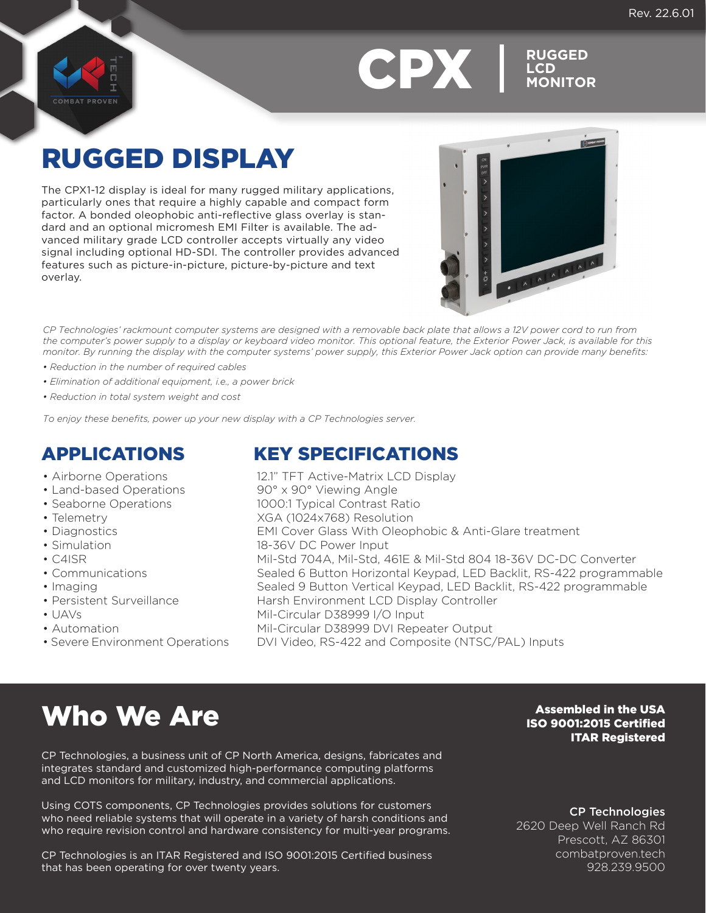



**LCD MONITOR**

## RUGGED DISPLAY

The CPX1-12 display is ideal for many rugged military applications, particularly ones that require a highly capable and compact form factor. A bonded oleophobic anti-reflective glass overlay is standard and an optional micromesh EMI Filter is available. The advanced military grade LCD controller accepts virtually any video signal including optional HD-SDI. The controller provides advanced features such as picture-in-picture, picture-by-picture and text overlay.



*CP Technologies' rackmount computer systems are designed with a removable back plate that allows a 12V power cord to run from the computer's power supply to a display or keyboard video monitor. This optional feature, the Exterior Power Jack, is available for this monitor. By running the display with the computer systems' power supply, this Exterior Power Jack option can provide many benefits:*

- *Reduction in the number of required cables*
- *Elimination of additional equipment, i.e., a power brick*
- *Reduction in total system weight and cost*

*To enjoy these benefits, power up your new display with a CP Technologies server.*

#### • Airborne Operations

- Land-based Operations
- Seaborne Operations
- Telemetry
- Diagnostics
- Simulation
- C4ISR
- Communications
- Imaging
- Persistent Surveillance
- UAVs
- Automation
- Severe Environment Operations

## APPLICATIONS KEY SPECIFICATIONS

12.1" TFT Active-Matrix LCD Display 90° x 90° Viewing Angle 1000:1 Typical Contrast Ratio XGA (1024x768) Resolution EMI Cover Glass With Oleophobic & Anti-Glare treatment 18-36V DC Power Input Mil-Std 704A, Mil-Std, 461E & Mil-Std 804 18-36V DC-DC Converter Sealed 6 Button Horizontal Keypad, LED Backlit, RS-422 programmable Sealed 9 Button Vertical Keypad, LED Backlit, RS-422 programmable Harsh Environment LCD Display Controller Mil-Circular D38999 I/O Input Mil-Circular D38999 DVI Repeater Output DVI Video, RS-422 and Composite (NTSC/PAL) Inputs

## Who We Are

CP Technologies, a business unit of CP North America, designs, fabricates and integrates standard and customized high-performance computing platforms and LCD monitors for military, industry, and commercial applications.

Using COTS components, CP Technologies provides solutions for customers who need reliable systems that will operate in a variety of harsh conditions and who require revision control and hardware consistency for multi-year programs.

CP Technologies is an ITAR Registered and ISO 9001:2015 Certified business that has been operating for over twenty years.

### Assembled in the USA ISO 9001:2015 Certified ITAR Registered

CP Technologies

2620 Deep Well Ranch Rd Prescott, AZ 86301 combatproven.tech 928.239.9500